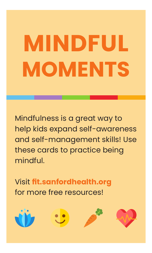# **MINDFUL MOMENTS**

Mindfulness is a great way to help kids expand self-awareness and self-management skills! Use these cards to practice being mindful.

Visit **fit.sanfordhealth.org** for more free resources!







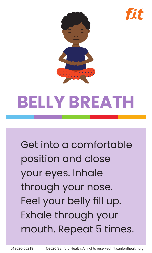



### **BELLY BREATH**

Get into a comfortable position and close your eyes. Inhale through your nose. Feel your belly fill up. Exhale through your mouth. Repeat 5 times.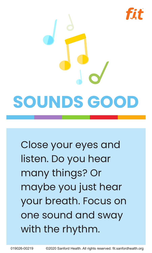

Close your eyes and listen. Do you hear many things? Or maybe you just hear your breath. Focus on one sound and sway with the rhythm.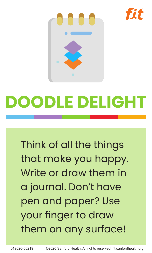



## **DOODLE DELIGHT**

Think of all the things that make you happy. Write or draw them in a journal. Don't have pen and paper? Use your finger to draw them on any surface!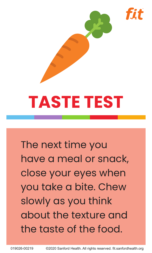



## **TASTE TEST**

The next time you have a meal or snack, close your eyes when you take a bite. Chew slowly as you think about the texture and the taste of the food.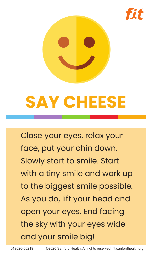



### **SAY CHEESE**

Close your eyes, relax your face, put your chin down. Slowly start to smile. Start with a tiny smile and work up to the biggest smile possible. As you do, lift your head and open your eyes. End facing the sky with your eyes wide and your smile big!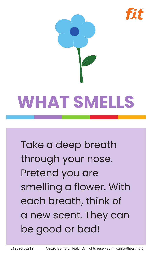



Take a deep breath through your nose. Pretend you are smelling a flower. With each breath, think of a new scent. They can be good or bad!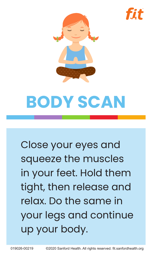



### **BODY SCAN**

Close your eyes and squeeze the muscles in your feet. Hold them tight, then release and relax. Do the same in your legs and continue up your body.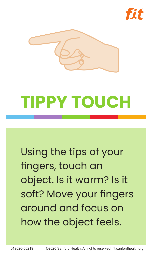



### **TIPPY TOUCH**

Using the tips of your fingers, touch an object. Is it warm? Is it soft? Move your fingers around and focus on how the object feels.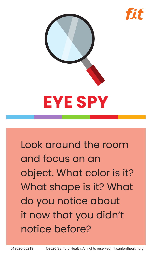



Look around the room and focus on an object. What color is it? What shape is it? What do you notice about it now that you didn't notice before?

019026-00219 ©2020 Sanford Health. All rights reserved. fit.sanfordhealth.org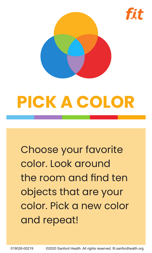

### **PICK A COLOR**

Choose your favorite color. Look around the room and find ten objects that are your color. Pick a new color and repeat!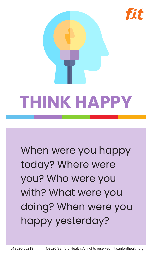

fit

When were you happy today? Where were you? Who were you with? What were you doing? When were you happy yesterday?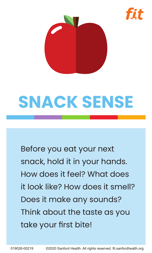



### **SNACK SENSE**

Before you eat your next snack, hold it in your hands. How does it feel? What does it look like? How does it smell? Does it make any sounds? Think about the taste as you take your first bite!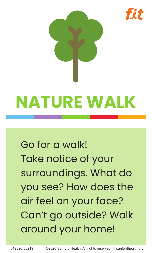

## **NATURE WALK**

### Go for a walk! Take notice of your surroundings. What do you see? How does the air feel on your face? Can't go outside? Walk around your home!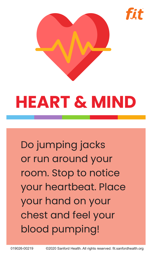



## **HEART & MIND**

Do jumping jacks or run around your room. Stop to notice your heartbeat. Place your hand on your chest and feel your blood pumping!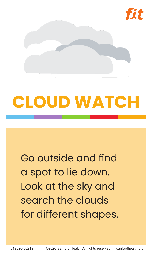

### **CLOUD WATCH**

#### Go outside and find a spot to lie down. Look at the sky and search the clouds for different shapes.

019026-00219 ©2020 Sanford Health. All rights reserved. fit.sanfordhealth.org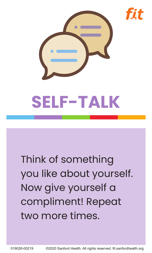



### Think of something you like about yourself. Now give yourself a compliment! Repeat two more times.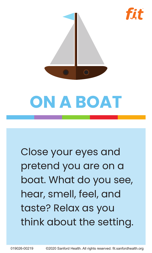

fit



Close your eyes and pretend you are on a boat. What do you see, hear, smell, feel, and taste? Relax as you think about the setting.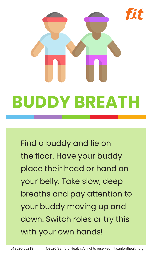# **BUDDY BREATH**

Find a buddy and lie on the floor. Have your buddy place their head or hand on your belly. Take slow, deep breaths and pay attention to your buddy moving up and down. Switch roles or try this with your own hands!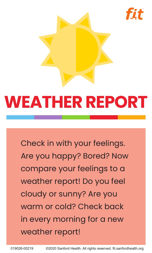

fit



Check in with your feelings. Are you happy? Bored? Now compare your feelings to a weather report! Do you feel cloudy or sunny? Are you warm or cold? Check back in every morning for a new weather report!